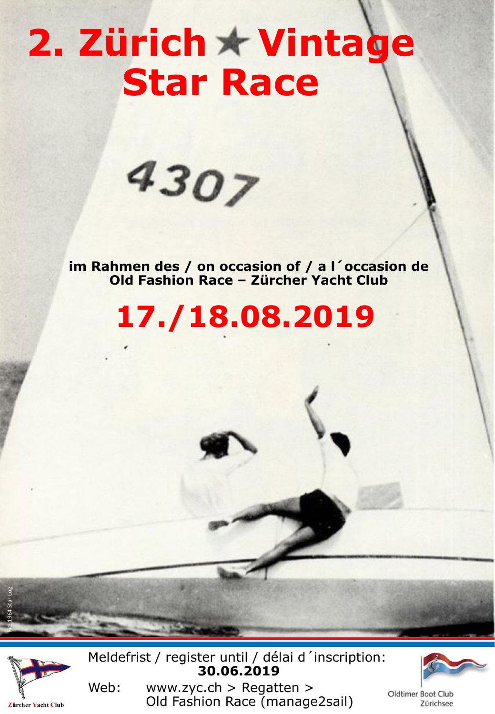# 2. Zürich \* Vintage **Star Race**



**im Rahmen des / on occasion of / a l´occasion de Old Fashion Race – Zürcher Yacht Club**

**17./18.08.2019**



Pic: 1964 Star Log

Meldefrist / register until / délai d´inscription: **30.06.2019**



Oldtimer Boot Club Zürichsee

Web: www.zyc.ch > Regatten > Old Fashion Race (manage2sail)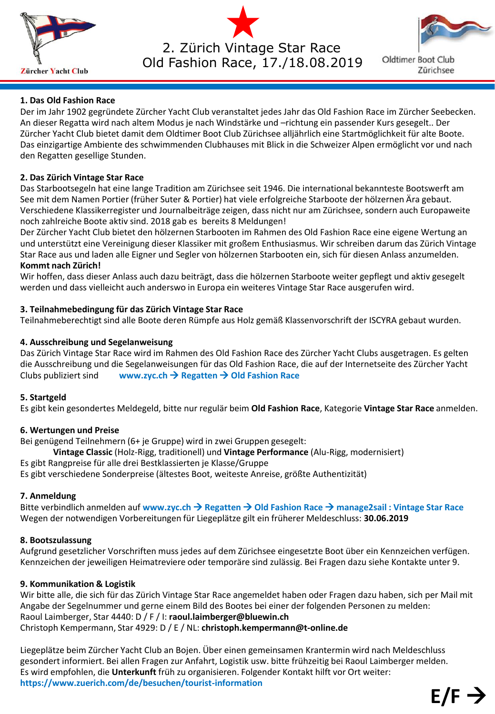

2. Zürich Vintage Star Race Old Fashion Race, 17./18.08.2019



**Oldtimer Boot Club** Zürichsee

# **1. Das Old Fashion Race**

Der im Jahr 1902 gegründete Zürcher Yacht Club veranstaltet jedes Jahr das Old Fashion Race im Zürcher Seebecken. An dieser Regatta wird nach altem Modus je nach Windstärke und –richtung ein passender Kurs gesegelt.. Der Zürcher Yacht Club bietet damit dem Oldtimer Boot Club Zürichsee alljährlich eine Startmöglichkeit für alte Boote. Das einzigartige Ambiente des schwimmenden Clubhauses mit Blick in die Schweizer Alpen ermöglicht vor und nach den Regatten gesellige Stunden.

# **2. Das Zürich Vintage Star Race**

Das Starbootsegeln hat eine lange Tradition am Zürichsee seit 1946. Die international bekannteste Bootswerft am See mit dem Namen Portier (früher Suter & Portier) hat viele erfolgreiche Starboote der hölzernen Ära gebaut. Verschiedene Klassikerregister und Journalbeiträge zeigen, dass nicht nur am Zürichsee, sondern auch Europaweite noch zahlreiche Boote aktiv sind. 2018 gab es bereits 8 Meldungen!

Der Zürcher Yacht Club bietet den hölzernen Starbooten im Rahmen des Old Fashion Race eine eigene Wertung an und unterstützt eine Vereinigung dieser Klassiker mit großem Enthusiasmus. Wir schreiben darum das Zürich Vintage Star Race aus und laden alle Eigner und Segler von hölzernen Starbooten ein, sich für diesen Anlass anzumelden. **Kommt nach Zürich!**

Wir hoffen, dass dieser Anlass auch dazu beiträgt, dass die hölzernen Starboote weiter gepflegt und aktiv gesegelt werden und dass vielleicht auch anderswo in Europa ein weiteres Vintage Star Race ausgerufen wird.

# **3. Teilnahmebedingung für das Zürich Vintage Star Race**

Teilnahmeberechtigt sind alle Boote deren Rümpfe aus Holz gemäß Klassenvorschrift der ISCYRA gebaut wurden.

# **4. Ausschreibung und Segelanweisung**

Das Zürich Vintage Star Race wird im Rahmen des Old Fashion Race des Zürcher Yacht Clubs ausgetragen. Es gelten die Ausschreibung und die Segelanweisungen für das Old Fashion Race, die auf der Internetseite des Zürcher Yacht Clubs publiziert sind **www.zyc.ch** → **Regatten** → **Old Fashion Race**

### **5. Startgeld**

Es gibt kein gesondertes Meldegeld, bitte nur regulär beim **Old Fashion Race**, Kategorie **Vintage Star Race** anmelden.

# **6. Wertungen und Preise**

Bei genügend Teilnehmern (6+ je Gruppe) wird in zwei Gruppen gesegelt:

**Vintage Classic** (Holz-Rigg, traditionell) und **Vintage Performance** (Alu-Rigg, modernisiert)

Es gibt Rangpreise für alle drei Bestklassierten je Klasse/Gruppe

Es gibt verschiedene Sonderpreise (ältestes Boot, weiteste Anreise, größte Authentizität)

# **7. Anmeldung**

Bitte verbindlich anmelden auf **www.zyc.ch** → **Regatten** → **Old Fashion Race** → **manage2sail : Vintage Star Race** Wegen der notwendigen Vorbereitungen für Liegeplätze gilt ein früherer Meldeschluss: **30.06.2019**

# **8. Bootszulassung**

Aufgrund gesetzlicher Vorschriften muss jedes auf dem Zürichsee eingesetzte Boot über ein Kennzeichen verfügen. Kennzeichen der jeweiligen Heimatreviere oder temporäre sind zulässig. Bei Fragen dazu siehe Kontakte unter 9.

# **9. Kommunikation & Logistik**

Wir bitte alle, die sich für das Zürich Vintage Star Race angemeldet haben oder Fragen dazu haben, sich per Mail mit Angabe der Segelnummer und gerne einem Bild des Bootes bei einer der folgenden Personen zu melden: Raoul Laimberger, Star 4440: D / F / I: **raoul.laimberger@bluewin.ch**  Christoph Kempermann, Star 4929: D / E / NL: **christoph.kempermann@t-online.de**

Liegeplätze beim Zürcher Yacht Club an Bojen. Über einen gemeinsamen Krantermin wird nach Meldeschluss gesondert informiert. Bei allen Fragen zur Anfahrt, Logistik usw. bitte frühzeitig bei Raoul Laimberger melden. Es wird empfohlen, die **Unterkunft** früh zu organisieren. Folgender Kontakt hilft vor Ort weiter: **https://www.zuerich.com/de/besuchen/tourist-information**  $E/F \rightarrow$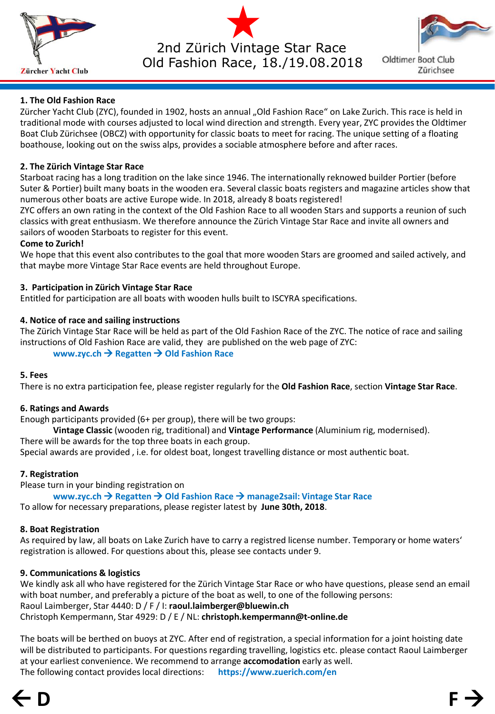

2nd Zürich Vintage Star Race Old Fashion Race, 18./19.08.2018



**Oldtimer Boot Club** Zürichsee

# **1. The Old Fashion Race**

Zürcher Yacht Club (ZYC), founded in 1902, hosts an annual "Old Fashion Race" on Lake Zurich. This race is held in traditional mode with courses adjusted to local wind direction and strength. Every year, ZYC provides the Oldtimer Boat Club Zürichsee (OBCZ) with opportunity for classic boats to meet for racing. The unique setting of a floating boathouse, looking out on the swiss alps, provides a sociable atmosphere before and after races.

# **2. The Zürich Vintage Star Race**

Starboat racing has a long tradition on the lake since 1946. The internationally reknowed builder Portier (before Suter & Portier) built many boats in the wooden era. Several classic boats registers and magazine articles show that numerous other boats are active Europe wide. In 2018, already 8 boats registered!

ZYC offers an own rating in the context of the Old Fashion Race to all wooden Stars and supports a reunion of such classics with great enthusiasm. We therefore announce the Zürich Vintage Star Race and invite all owners and sailors of wooden Starboats to register for this event.

### **Come to Zurich!**

We hope that this event also contributes to the goal that more wooden Stars are groomed and sailed actively, and that maybe more Vintage Star Race events are held throughout Europe.

# **3. Participation in Zürich Vintage Star Race**

Entitled for participation are all boats with wooden hulls built to ISCYRA specifications.

# **4. Notice of race and sailing instructions**

The Zürich Vintage Star Race will be held as part of the Old Fashion Race of the ZYC. The notice of race and sailing instructions of Old Fashion Race are valid, they are published on the web page of ZYC:

# **www.zyc.ch** → **Regatten** → **Old Fashion Race**

### **5. Fees**

There is no extra participation fee, please register regularly for the **Old Fashion Race**, section **Vintage Star Race**.

### **6. Ratings and Awards**

Enough participants provided (6+ per group), there will be two groups:

**Vintage Classic** (wooden rig, traditional) and **Vintage Performance** (Aluminium rig, modernised).

There will be awards for the top three boats in each group.

Special awards are provided , i.e. for oldest boat, longest travelling distance or most authentic boat.

# **7. Registration**

Please turn in your binding registration on

**www.zyc.ch** → **Regatten** → **Old Fashion Race** → **manage2sail: Vintage Star Race** To allow for necessary preparations, please register latest by **June 30th, 2018**.

# **8. Boat Registration**

As required by law, all boats on Lake Zurich have to carry a registred license number. Temporary or home waters' registration is allowed. For questions about this, please see contacts under 9.

# **9. Communications & logistics**

We kindly ask all who have registered for the Zürich Vintage Star Race or who have questions, please send an email with boat number, and preferably a picture of the boat as well, to one of the following persons: Raoul Laimberger, Star 4440: D / F / I: **raoul.laimberger@bluewin.ch**  Christoph Kempermann, Star 4929: D / E / NL: **christoph.kempermann@t-online.de**

The boats will be berthed on buoys at ZYC. After end of registration, a special information for a joint hoisting date will be distributed to participants. For questions regarding travelling, logistics etc. please contact Raoul Laimberger at your earliest convenience. We recommend to arrange **accomodation** early as well. The following contact provides local directions: **https://www.zuerich.com/en**